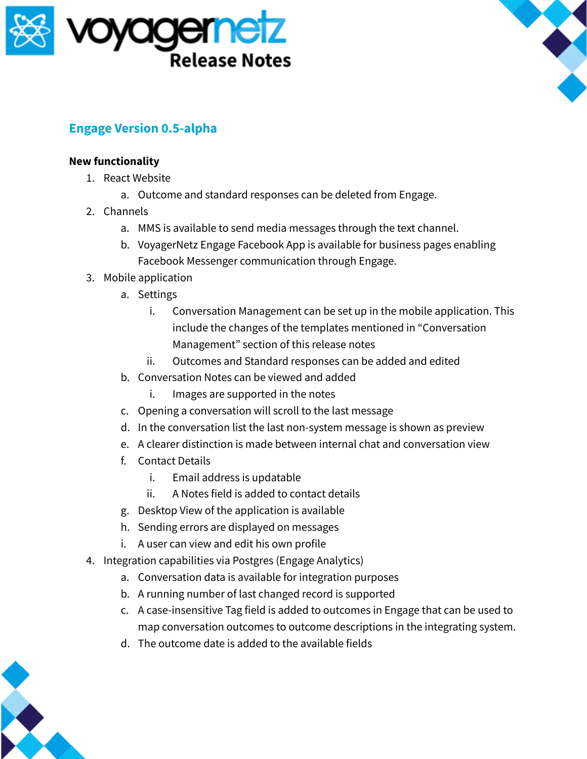



## **Engage Version 0.5-alpha**

## **New functionality**

- 1. React Website
	- a. Outcome and standard responses can be deleted from Engage.
- 2. Channels
	- a. MMS is available to send media messages through the text channel.
	- b. VoyagerNetz Engage Facebook App is available for business pages enabling Facebook Messenger communication through Engage.
- 3. Mobile application
	- a. Settings
		- i. Conversation Management can be set up in the mobile application. This include the changes of the templates mentioned in "Conversation Management" section of this release notes
		- ii. Outcomes and Standard responses can be added and edited
	- b. Conversation Notes can be viewed and added
		- i. Images are supported in the notes
	- c. Opening a conversation will scroll to the last message
	- d. In the conversation list the last non-system message is shown as preview
	- e. A clearer distinction is made between internal chat and conversation view
	- f. Contact Details
		- i. Email address is updatable
		- ii. A Notes field is added to contact details
	- g. Desktop View of the application is available
	- h. Sending errors are displayed on messages
	- i. A user can view and edit his own profile
- 4. Integration capabilities via Postgres (Engage Analytics)
	- a. Conversation data is available for integration purposes
	- b. A running number of last changed record is supported
	- c. A case-insensitive Tag field is added to outcomes in Engage that can be used to map conversation outcomes to outcome descriptions in the integrating system.
	- d. The outcome date is added to the available fields

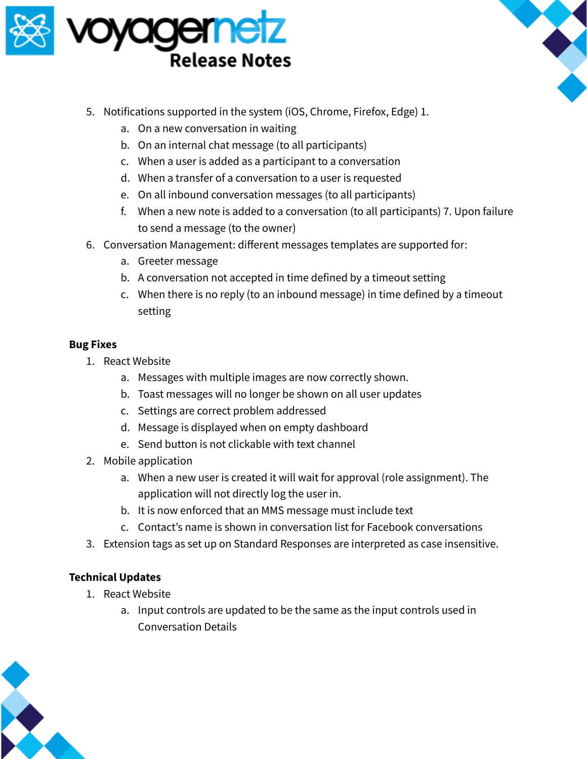



- 5. Notifications supported in the system (iOS, Chrome, Firefox, Edge) 1.
	- a. On a new conversation in waiting
	- b. On an internal chat message (to all participants)
	- c. When a user is added as a participant to a conversation
	- d. When a transfer of a conversation to a user is requested
	- e. On all inbound conversation messages (to all participants)
	- f. When a new note is added to a conversation (to all participants) 7. Upon failure to send a message (to the owner)
- 6. Conversation Management: different messages templates are supported for:
	- a. Greeter message
	- b. A conversation not accepted in time defined by a timeout setting
	- c. When there is no reply (to an inbound message) in time defined by a timeout setting

## **Bug Fixes**

- 1. React Website
	- a. Messages with multiple images are now correctly shown.
	- b. Toast messages will no longer be shown on all user updates
	- c. Settings are correct problem addressed
	- d. Message is displayed when on empty dashboard
	- e. Send button is not clickable with text channel
- 2. Mobile application
	- a. When a new user is created it will wait for approval (role assignment). The application will not directly log the user in.
	- b. It is now enforced that an MMS message must include text
	- c. Contact's name is shown in conversation list for Facebook conversations
- 3. Extension tags as set up on Standard Responses are interpreted as case insensitive.

## **Technical Updates**

- 1. React Website
	- a. Input controls are updated to be the same as the input controls used in Conversation Details